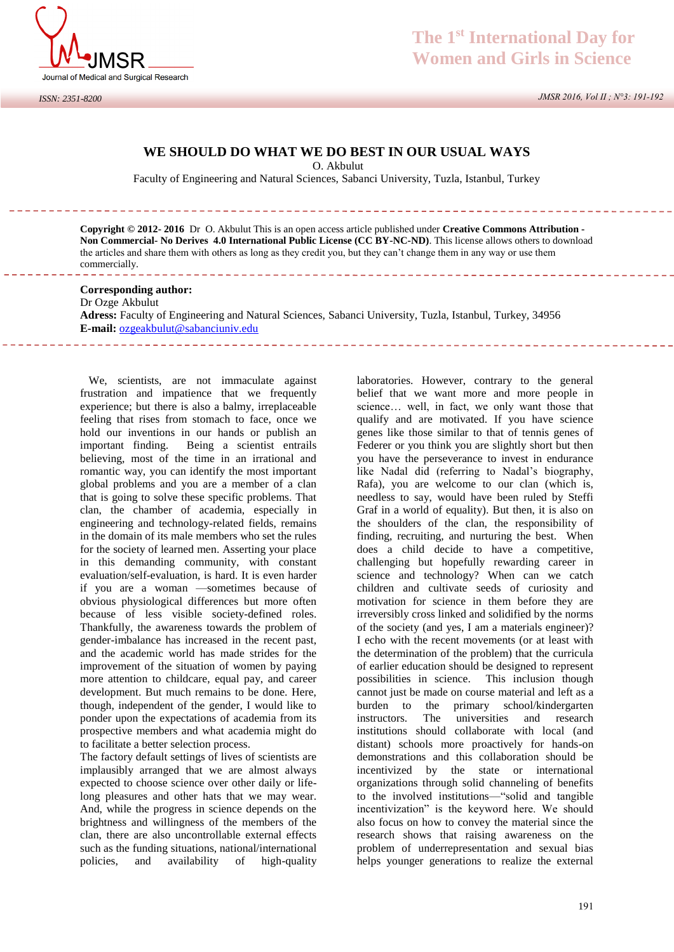

# **WE SHOULD DO WHAT WE DO BEST IN OUR USUAL WAYS**

O. Akbulut

Faculty of Engineering and Natural Sciences, Sabanci University, Tuzla, Istanbul, Turkey

**Copyright © 2012- 2016** Dr O. Akbulut This is an open access article published under **Creative Commons Attribution - Non Commercial- No Derives 4.0 International Public License (CC BY-NC-ND)**. This license allows others to download the articles and share them with others as long as they credit you, but they can't change them in any way or use them commercially.

### **Corresponding author:**

Dr Ozge Akbulut **Adress:** Faculty of Engineering and Natural Sciences, Sabanci University, Tuzla, Istanbul, Turkey, 34956 **E-mail:** [ozgeakbulut@sabanciuniv.edu](mailto:ozgeakbulut@sabanciuniv.edu)

 We, scientists, are not immaculate against frustration and impatience that we frequently experience; but there is also a balmy, irreplaceable feeling that rises from stomach to face, once we hold our inventions in our hands or publish an important finding. Being a scientist entrails believing, most of the time in an irrational and romantic way, you can identify the most important global problems and you are a member of a clan that is going to solve these specific problems. That clan, the chamber of academia, especially in engineering and technology-related fields, remains in the domain of its male members who set the rules for the society of learned men. Asserting your place in this demanding community, with constant evaluation/self-evaluation, is hard. It is even harder if you are a woman —sometimes because of obvious physiological differences but more often because of less visible society-defined roles. Thankfully, the awareness towards the problem of gender-imbalance has increased in the recent past, and the academic world has made strides for the improvement of the situation of women by paying more attention to childcare, equal pay, and career development. But much remains to be done. Here, though, independent of the gender, I would like to ponder upon the expectations of academia from its prospective members and what academia might do to facilitate a better selection process.

The factory default settings of lives of scientists are implausibly arranged that we are almost always expected to choose science over other daily or lifelong pleasures and other hats that we may wear. And, while the progress in science depends on the brightness and willingness of the members of the clan, there are also uncontrollable external effects such as the funding situations, national/international policies, and availability of high-quality

laboratories. However, contrary to the general belief that we want more and more people in science… well, in fact, we only want those that qualify and are motivated. If you have science genes like those similar to that of tennis genes of Federer or you think you are slightly short but then you have the perseverance to invest in endurance like Nadal did (referring to Nadal's biography, Rafa), you are welcome to our clan (which is, needless to say, would have been ruled by Steffi Graf in a world of equality). But then, it is also on the shoulders of the clan, the responsibility of finding, recruiting, and nurturing the best. When does a child decide to have a competitive, challenging but hopefully rewarding career in science and technology? When can we catch children and cultivate seeds of curiosity and motivation for science in them before they are irreversibly cross linked and solidified by the norms of the society (and yes, I am a materials engineer)? I echo with the recent movements (or at least with the determination of the problem) that the curricula of earlier education should be designed to represent possibilities in science. This inclusion though cannot just be made on course material and left as a burden to the primary school/kindergarten instructors. The universities and research institutions should collaborate with local (and distant) schools more proactively for hands-on demonstrations and this collaboration should be incentivized by the state or international organizations through solid channeling of benefits to the involved institutions—"solid and tangible incentivization" is the keyword here. We should also focus on how to convey the material since the research shows that raising awareness on the problem of underrepresentation and sexual bias helps younger generations to realize the external